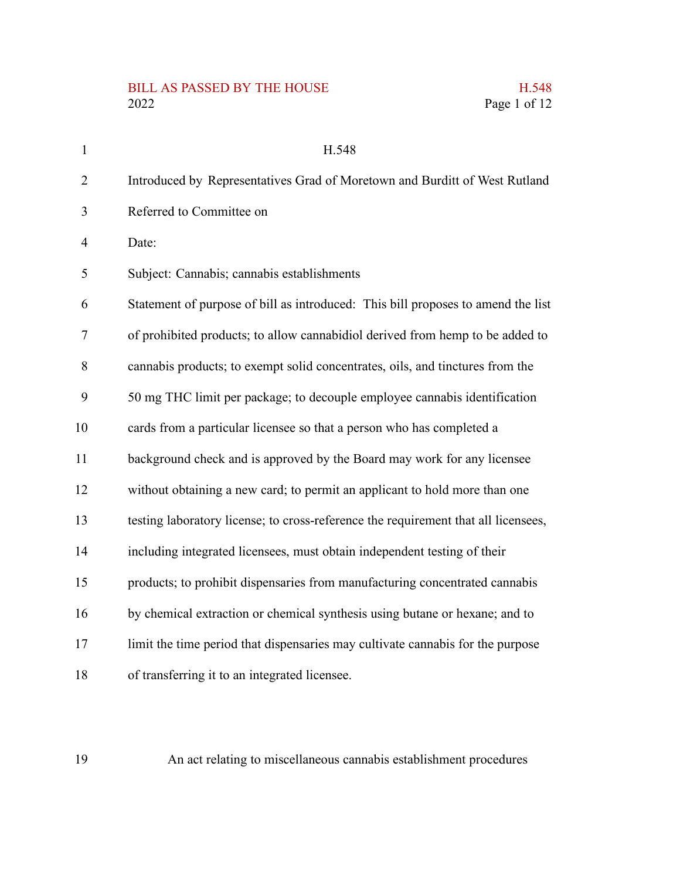## BILL AS PASSED BY THE HOUSE H.548<br>2022 Page 1 of 12

| $\mathbf{1}$   | H.548                                                                              |
|----------------|------------------------------------------------------------------------------------|
| $\overline{2}$ | Introduced by Representatives Grad of Moretown and Burditt of West Rutland         |
| 3              | Referred to Committee on                                                           |
| $\overline{4}$ | Date:                                                                              |
| 5              | Subject: Cannabis; cannabis establishments                                         |
| 6              | Statement of purpose of bill as introduced: This bill proposes to amend the list   |
| 7              | of prohibited products; to allow cannabidiol derived from hemp to be added to      |
| 8              | cannabis products; to exempt solid concentrates, oils, and tinctures from the      |
| 9              | 50 mg THC limit per package; to decouple employee cannabis identification          |
| 10             | cards from a particular licensee so that a person who has completed a              |
| 11             | background check and is approved by the Board may work for any licensee            |
| 12             | without obtaining a new card; to permit an applicant to hold more than one         |
| 13             | testing laboratory license; to cross-reference the requirement that all licensees, |
| 14             | including integrated licensees, must obtain independent testing of their           |
| 15             | products; to prohibit dispensaries from manufacturing concentrated cannabis        |
| 16             | by chemical extraction or chemical synthesis using butane or hexane; and to        |
| 17             | limit the time period that dispensaries may cultivate cannabis for the purpose     |
| 18             | of transferring it to an integrated licensee.                                      |

Page 1 of 12

An act relating to miscellaneous cannabis establishment procedures

19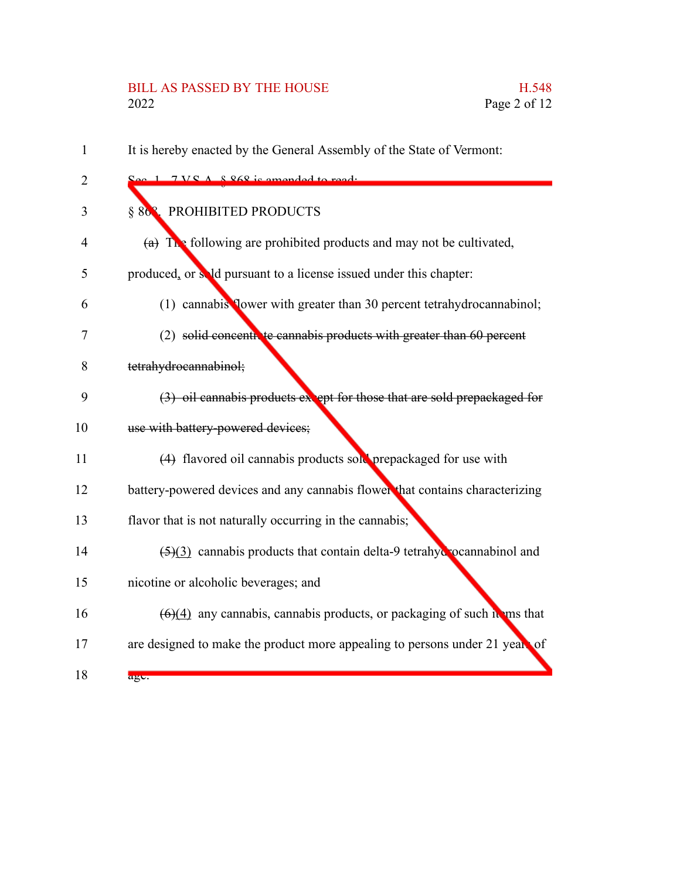## BILL AS PASSED BY THE HOUSE H.548 2022 Page 2 of 12

It is hereby enacted by the General Assembly of the State of Vermont: Sec. 1. 7 V.S.A. § 868 is amended to read: § 863. PROHIBITED PRODUCTS (a) The following are prohibited products and may not be cultivated, produced, or sold pursuant to a license issued under this chapter: (1) cannabis flower with greater than 30 percent tetrahydrocannabinol; (2) solid concentrate cannabis products with greater than 60 percent tetrahydrocannabinol;  $(3)$  oil cannabis products except for those that are sold prepackaged for use with battery-powered devices; (4) flavored oil cannabis products sold prepackaged for use with battery-powered devices and any cannabis flower that contains characterizing flavor that is not naturally occurring in the cannabis;  $(5)(3)$  cannabis products that contain delta-9 tetrahydrocannabinol and nicotine or alcoholic beverages; and  $(6)(4)$  any cannabis, cannabis products, or packaging of such items that are designed to make the product more appealing to persons under 21 years of age. 1 2 3 4 5 6 7 8 9 10 11 12 13 14 15 16 17 18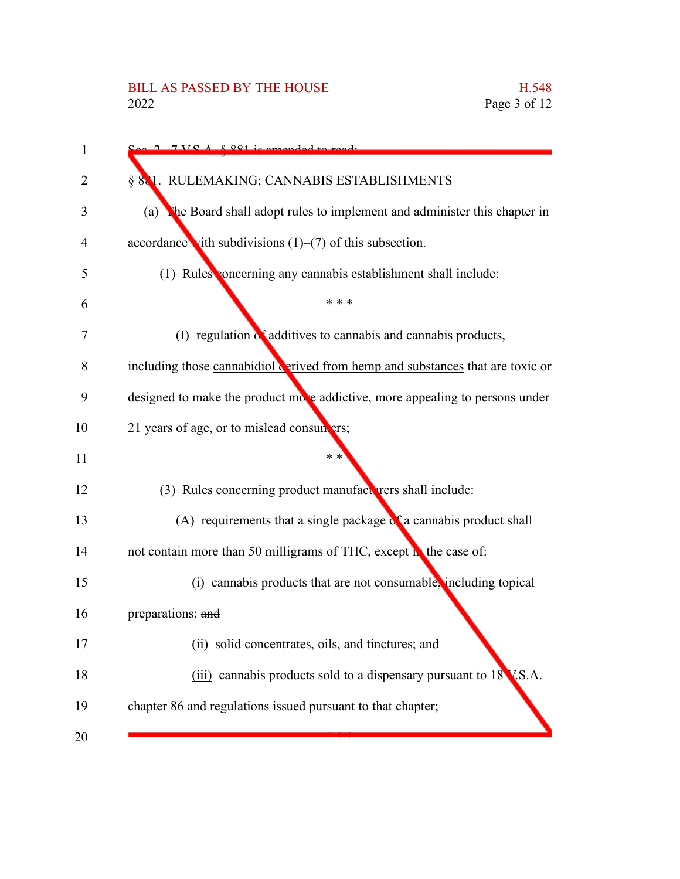## BILL AS PASSED BY THE HOUSE H.548<br>2022 Page 3 of 12

| 1  | 2 7 VCA 8881 is amonded to read.                                               |
|----|--------------------------------------------------------------------------------|
| 2  | RULEMAKING; CANNABIS ESTABLISHMENTS<br>§ 801.                                  |
| 3  | The Board shall adopt rules to implement and administer this chapter in<br>(a) |
| 4  | accordance vith subdivisions $(1)$ – $(7)$ of this subsection.                 |
| 5  | (1) Rules concerning any cannabis establishment shall include:                 |
| 6  | * * *                                                                          |
| 7  | (I) regulation of additives to cannabis and cannabis products,                 |
| 8  | including those cannabidiol crived from hemp and substances that are toxic or  |
| 9  | designed to make the product move addictive, more appealing to persons under   |
| 10 | 21 years of age, or to mislead consumers;                                      |
| 11 | $* *$                                                                          |
| 12 | (3) Rules concerning product manufacturers shall include:                      |
| 13 | (A) requirements that a single package $\delta$ a cannabis product shall       |
| 14 | not contain more than 50 milligrams of THC, except <b>n</b> the case of:       |
| 15 | (i) cannabis products that are not consumable, including topical               |
| 16 | preparations; and                                                              |
| 17 | (ii) solid concentrates, oils, and tinctures; and                              |
| 18 | (iii) cannabis products sold to a dispensary pursuant to 18<br>V.S.A.          |
| 19 | chapter 86 and regulations issued pursuant to that chapter;                    |
| 20 |                                                                                |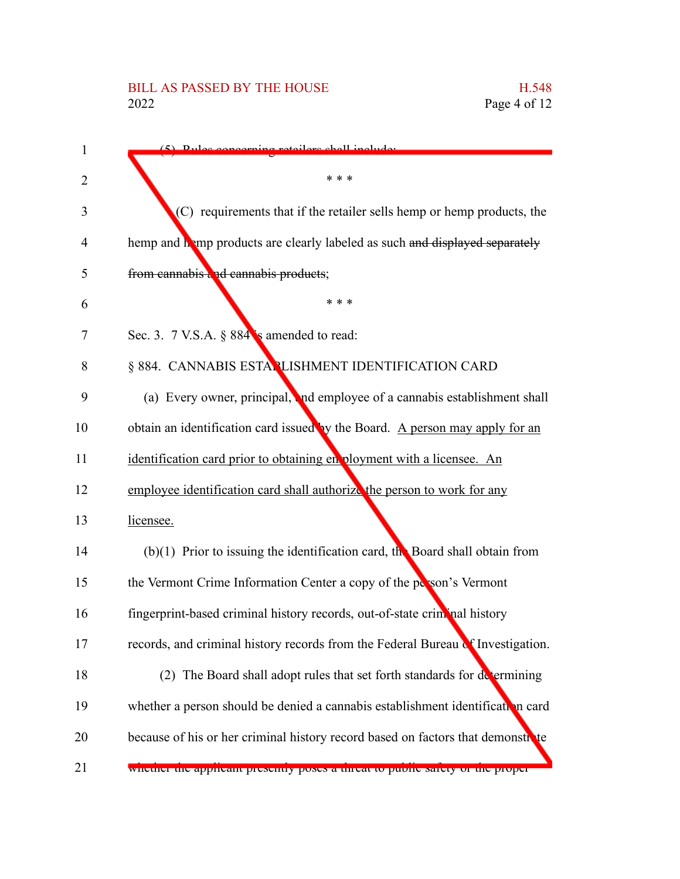| $\mathbf{1}$ | $(5)$ Pulge concerning retailers shall include                                  |
|--------------|---------------------------------------------------------------------------------|
| 2            | * * *                                                                           |
| 3            | (C) requirements that if the retailer sells hemp or hemp products, the          |
| 4            | hemp and hamp products are clearly labeled as such and displayed separately     |
| 5            | from cannabis and cannabis products;                                            |
| 6            | * * *                                                                           |
| 7            | Sec. 3. 7 V.S.A. § 884 s amended to read:                                       |
| 8            | § 884. CANNABIS ESTANLISHMENT IDENTIFICATION CARD                               |
| 9            | (a) Every owner, principal, and employee of a cannabis establishment shall      |
| 10           | obtain an identification card issued by the Board. A person may apply for an    |
| 11           | identification card prior to obtaining en ployment with a licensee. An          |
| 12           | employee identification card shall authorize the person to work for any         |
| 13           | licensee.                                                                       |
| 14           | $(b)(1)$ Prior to issuing the identification card, the Board shall obtain from  |
| 15           | the Vermont Crime Information Center a copy of the person's Vermont             |
| 16           | fingerprint-based criminal history records, out-of-state criminal history       |
| 17           | records, and criminal history records from the Federal Bureau of Investigation. |
| 18           | (2) The Board shall adopt rules that set forth standards for determining        |
| 19           | whether a person should be denied a cannabis establishment identification card  |
| 20           | because of his or her criminal history record based on factors that demonstrate |
| 21           | whether the applicant presently poses a threat to public safety of the proper   |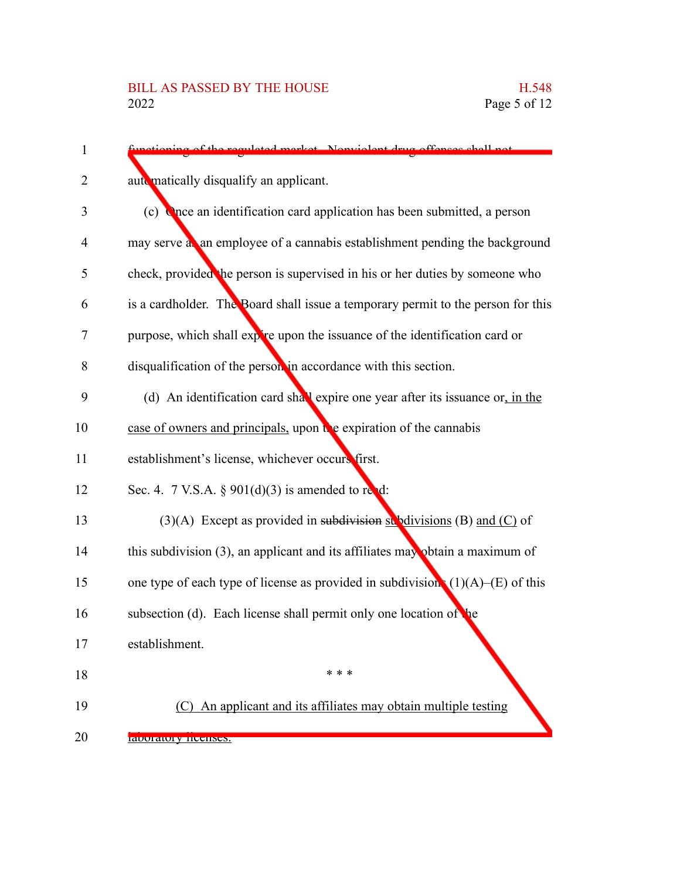| 1              | ring of the regulated market. Nonviolent drug offences shall not                 |
|----------------|----------------------------------------------------------------------------------|
| 2              | aute matically disqualify an applicant.                                          |
| 3              | (c) Once an identification card application has been submitted, a person         |
| $\overline{4}$ | may serve a an employee of a cannabis establishment pending the background       |
| 5              | check, provided the person is supervised in his or her duties by someone who     |
| 6              | is a cardholder. The Board shall issue a temporary permit to the person for this |
| 7              | purpose, which shall expire upon the issuance of the identification card or      |
| 8              | disqualification of the person in accordance with this section.                  |
| 9              | (d) An identification card shall expire one year after its issuance or, in the   |
| 10             | case of owners and principals, upon the expiration of the cannabis               |
| 11             | establishment's license, whichever occurs first.                                 |
| 12             | Sec. 4. 7 V.S.A. § $901(d)(3)$ is amended to red:                                |
| 13             | $(3)(A)$ Except as provided in subdivision subdivisions (B) and (C) of           |
| 14             | this subdivision $(3)$ , an applicant and its affiliates may obtain a maximum of |
| 15             | one type of each type of license as provided in subdivision $(1)(A)$ (E) of this |
| 16             | subsection (d). Each license shall permit only one location of the               |
| 17             | establishment.                                                                   |
| 18             | * * *                                                                            |
| 19             | (C) An applicant and its affiliates may obtain multiple testing                  |
| 20             | rapplatory nechses.                                                              |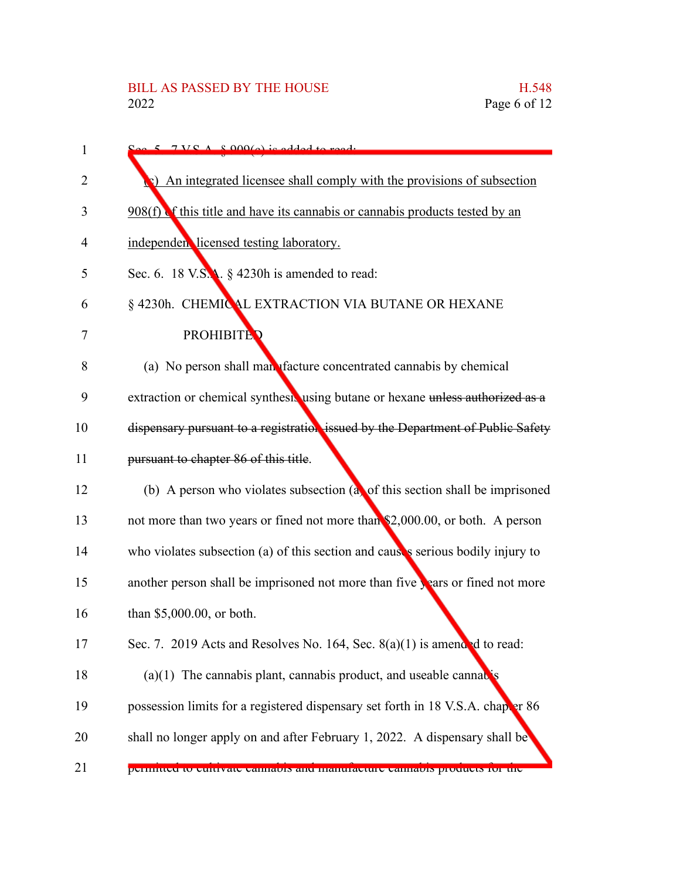| 1  | $\sim$ 5 7 VC A $\&$ 000(a) is added to read.                                   |
|----|---------------------------------------------------------------------------------|
| 2  | An integrated licensee shall comply with the provisions of subsection           |
| 3  | 908(f) of this title and have its cannabis or cannabis products tested by an    |
| 4  | independen licensed testing laboratory.                                         |
| 5  | Sec. 6. 18 V.S.A. $\S$ 4230h is amended to read:                                |
| 6  | § 4230h. CHEMICAL EXTRACTION VIA BUTANE OR HEXANE                               |
| 7  | <b>PROHIBITE</b>                                                                |
| 8  | (a) No person shall man <i>diacture</i> concentrated cannabis by chemical       |
| 9  | extraction or chemical synthesis using butane or hexane unless authorized as a  |
| 10 | dispensary pursuant to a registration issued by the Department of Public Safety |
| 11 | pursuant to chapter 86 of this title.                                           |
| 12 | (b) A person who violates subsection (a) of this section shall be imprisoned    |
| 13 | not more than two years or fined not more than \$2,000.00, or both. A person    |
| 14 | who violates subsection (a) of this section and causes serious bodily injury to |
| 15 | another person shall be imprisoned not more than five years or fined not more   |
| 16 | than \$5,000.00, or both.                                                       |
| 17 | Sec. 7. 2019 Acts and Resolves No. 164, Sec. $8(a)(1)$ is amended to read:      |
| 18 | $(a)(1)$ The cannabis plant, cannabis product, and useable cannable             |
| 19 | possession limits for a registered dispensary set forth in 18 V.S.A. chaper 86  |
| 20 | shall no longer apply on and after February 1, 2022. A dispensary shall be      |
| 21 | permitted to cultivate cannabis and manuracture cannabis products for the       |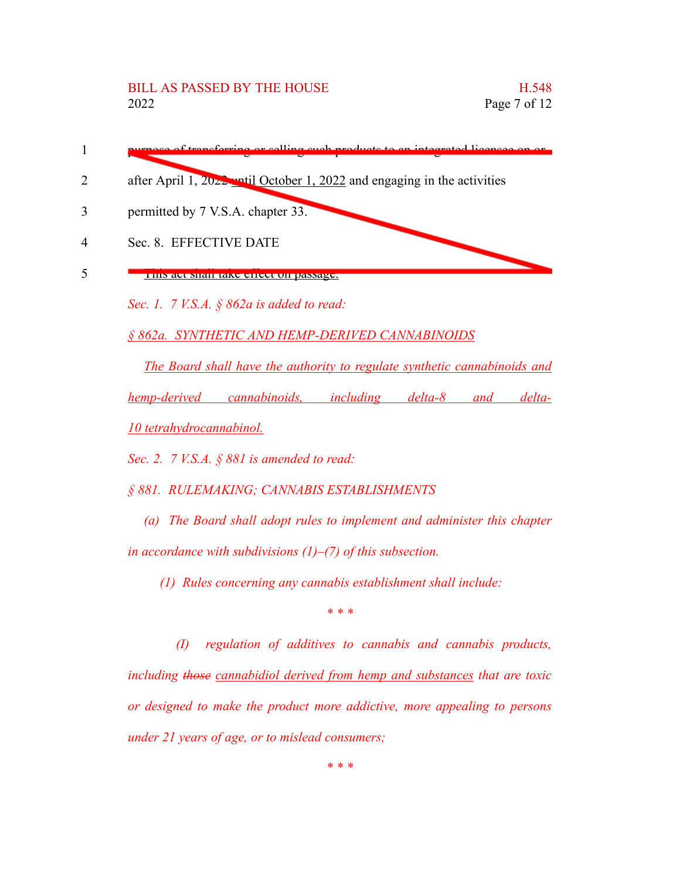- purpose of transferring or selling such products to an integrated licensee on or 1
- after April 1, 2022 until October 1, 2022 and engaging in the activities 2
- permitted by 7 V.S.A. chapter 33. 3

Sec. 8. EFFECTIVE DATE 4

This act shall take effect on passage. 5

*Sec. 1. 7 V.S.A. § 862a is added to read:*

*§ 862a. SYNTHETIC AND HEMP-DERIVED CANNABINOIDS*

*The Board shall have the authority to regulate synthetic cannabinoids and hemp-derived cannabinoids, including delta-8 and delta-10 tetrahydrocannabinol.*

*Sec. 2. 7 V.S.A. § 881 is amended to read:*

*§ 881. RULEMAKING; CANNABIS ESTABLISHMENTS*

*(a) The Board shall adopt rules to implement and administer this chapter in accordance with subdivisions (1)–(7) of this subsection.*

*(1) Rules concerning any cannabis establishment shall include:*

*\* \* \**

*(I) regulation of additives to cannabis and cannabis products, including those cannabidiol derived from hemp and substances that are toxic or designed to make the product more addictive, more appealing to persons under 21 years of age, or to mislead consumers;*

*\* \* \**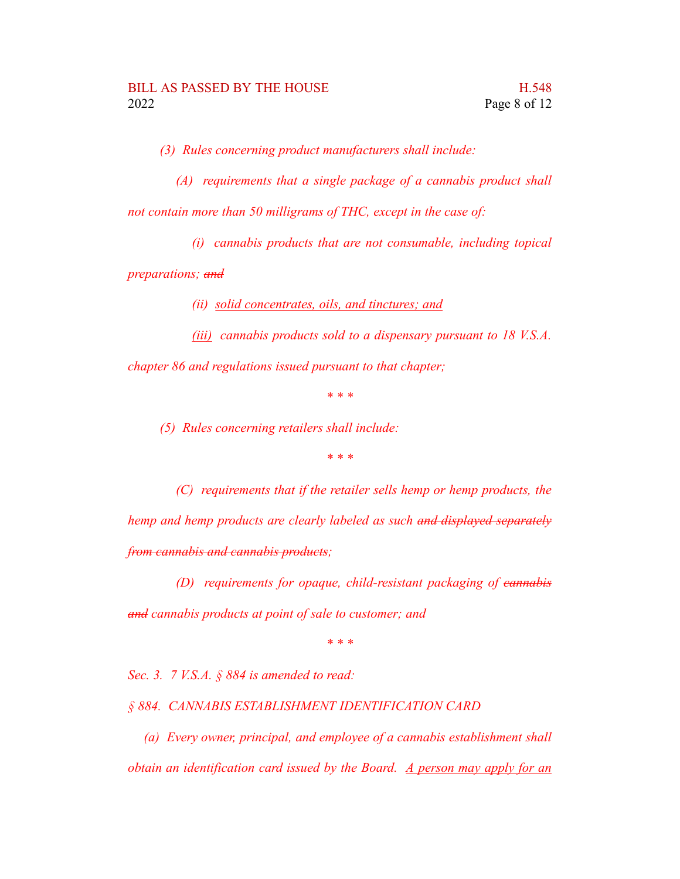*(3) Rules concerning product manufacturers shall include:*

- *(A) requirements that a single package of a cannabis product shall not contain more than 50 milligrams of THC, except in the case of:*
- *(i) cannabis products that are not consumable, including topical preparations; and*

*(ii) solid concentrates, oils, and tinctures; and*

*(iii) cannabis products sold to a dispensary pursuant to 18 V.S.A. chapter 86 and regulations issued pursuant to that chapter;*

*\* \* \**

*(5) Rules concerning retailers shall include:*

*\* \* \**

*(C) requirements that if the retailer sells hemp or hemp products, the hemp and hemp products are clearly labeled as such and displayed separately from cannabis and cannabis products;*

*(D) requirements for opaque, child-resistant packaging of cannabis and cannabis products at point of sale to customer; and*

*\* \* \**

*Sec. 3. 7 V.S.A. § 884 is amended to read:*

*§ 884. CANNABIS ESTABLISHMENT IDENTIFICATION CARD*

*(a) Every owner, principal, and employee of a cannabis establishment shall obtain an identification card issued by the Board. A person may apply for an*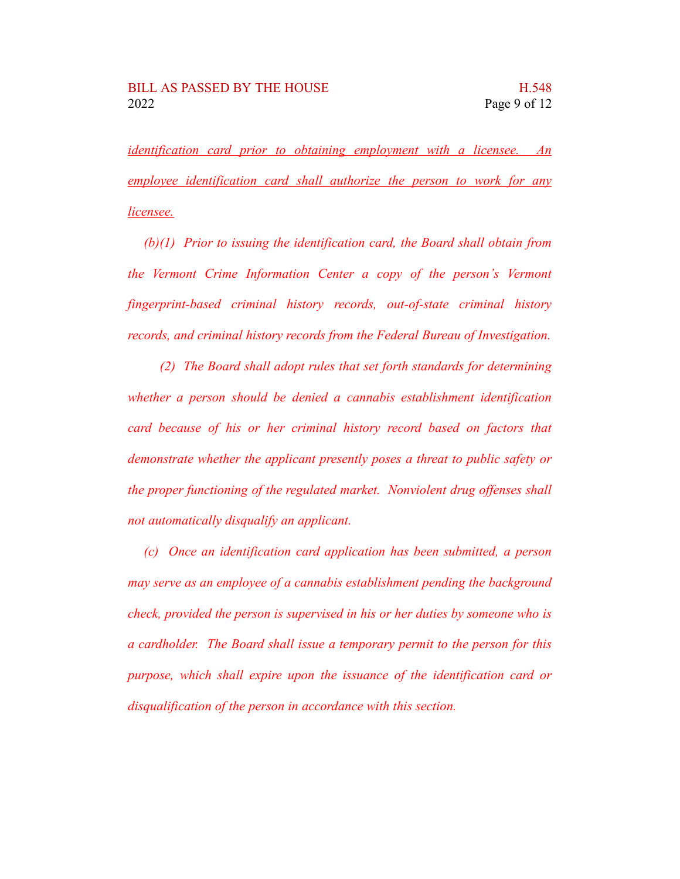*identification card prior to obtaining employment with a licensee. An employee identification card shall authorize the person to work for any licensee.*

*(b)(1) Prior to issuing the identification card, the Board shall obtain from the Vermont Crime Information Center a copy of the person's Vermont fingerprint-based criminal history records, out-of-state criminal history records, and criminal history records from the Federal Bureau of Investigation.*

*(2) The Board shall adopt rules that set forth standards for determining whether a person should be denied a cannabis establishment identification card because of his or her criminal history record based on factors that demonstrate whether the applicant presently poses a threat to public safety or the proper functioning of the regulated market. Nonviolent drug offenses shall not automatically disqualify an applicant.*

*(c) Once an identification card application has been submitted, a person may serve as an employee of a cannabis establishment pending the background check, provided the person is supervised in his or her duties by someone who is a cardholder. The Board shall issue a temporary permit to the person for this purpose, which shall expire upon the issuance of the identification card or disqualification of the person in accordance with this section.*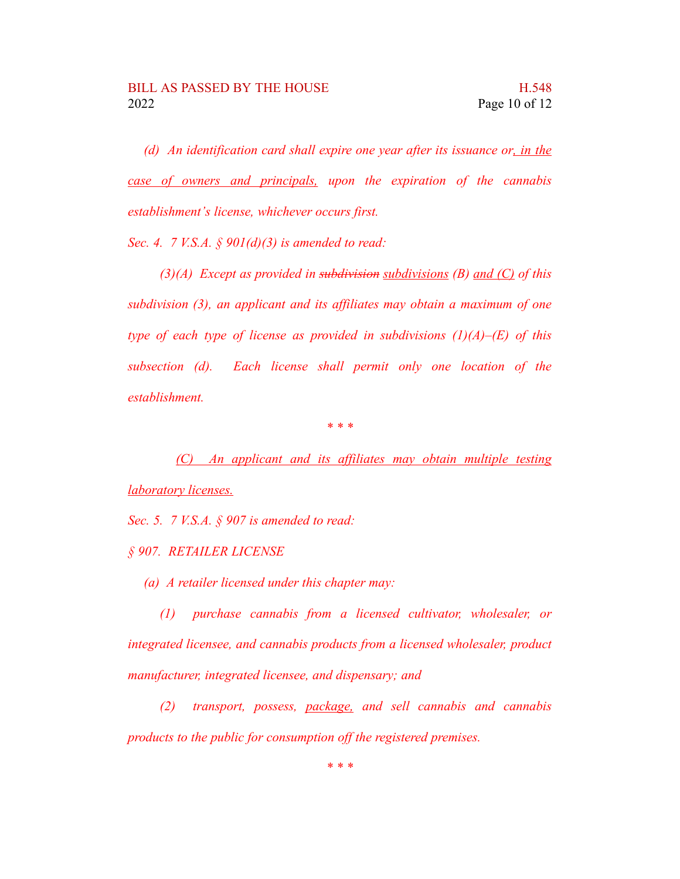*(d) An identification card shall expire one year after its issuance or, in the case of owners and principals, upon the expiration of the cannabis establishment's license, whichever occurs first.*

*Sec. 4. 7 V.S.A. § 901(d)(3) is amended to read:*

*(3)(A) Except as provided in subdivision subdivisions (B) and (C) of this subdivision (3), an applicant and its affiliates may obtain a maximum of one type of each type of license as provided in subdivisions (1)(A)–(E) of this subsection (d). Each license shall permit only one location of the establishment.*

*\* \* \**

*(C) An applicant and its affiliates may obtain multiple testing laboratory licenses.*

*Sec. 5. 7 V.S.A. § 907 is amended to read:*

*§ 907. RETAILER LICENSE*

*(a) A retailer licensed under this chapter may:*

*(1) purchase cannabis from a licensed cultivator, wholesaler, or integrated licensee, and cannabis products from a licensed wholesaler, product manufacturer, integrated licensee, and dispensary; and*

*(2) transport, possess, package, and sell cannabis and cannabis products to the public for consumption off the registered premises.*

*\* \* \**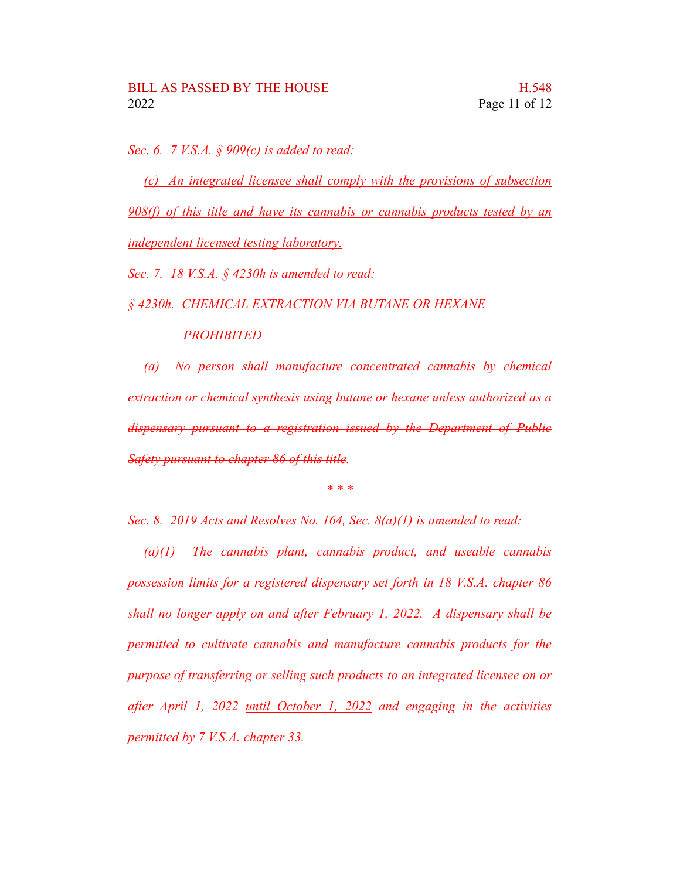*Sec. 6. 7 V.S.A. § 909(c) is added to read:*

*(c) An integrated licensee shall comply with the provisions of subsection 908(f) of this title and have its cannabis or cannabis products tested by an independent licensed testing laboratory.*

*Sec. 7. 18 V.S.A. § 4230h is amended to read:*

*§ 4230h. CHEMICAL EXTRACTION VIA BUTANE OR HEXANE*

## *PROHIBITED*

*(a) No person shall manufacture concentrated cannabis by chemical extraction or chemical synthesis using butane or hexane unless authorized as a dispensary pursuant to a registration issued by the Department of Public Safety pursuant to chapter 86 of this title.*

*\* \* \**

*Sec. 8. 2019 Acts and Resolves No. 164, Sec. 8(a)(1) is amended to read:*

*(a)(1) The cannabis plant, cannabis product, and useable cannabis possession limits for a registered dispensary set forth in 18 V.S.A. chapter 86 shall no longer apply on and after February 1, 2022. A dispensary shall be permitted to cultivate cannabis and manufacture cannabis products for the purpose of transferring or selling such products to an integrated licensee on or after April 1, 2022 until October 1, 2022 and engaging in the activities permitted by 7 V.S.A. chapter 33.*